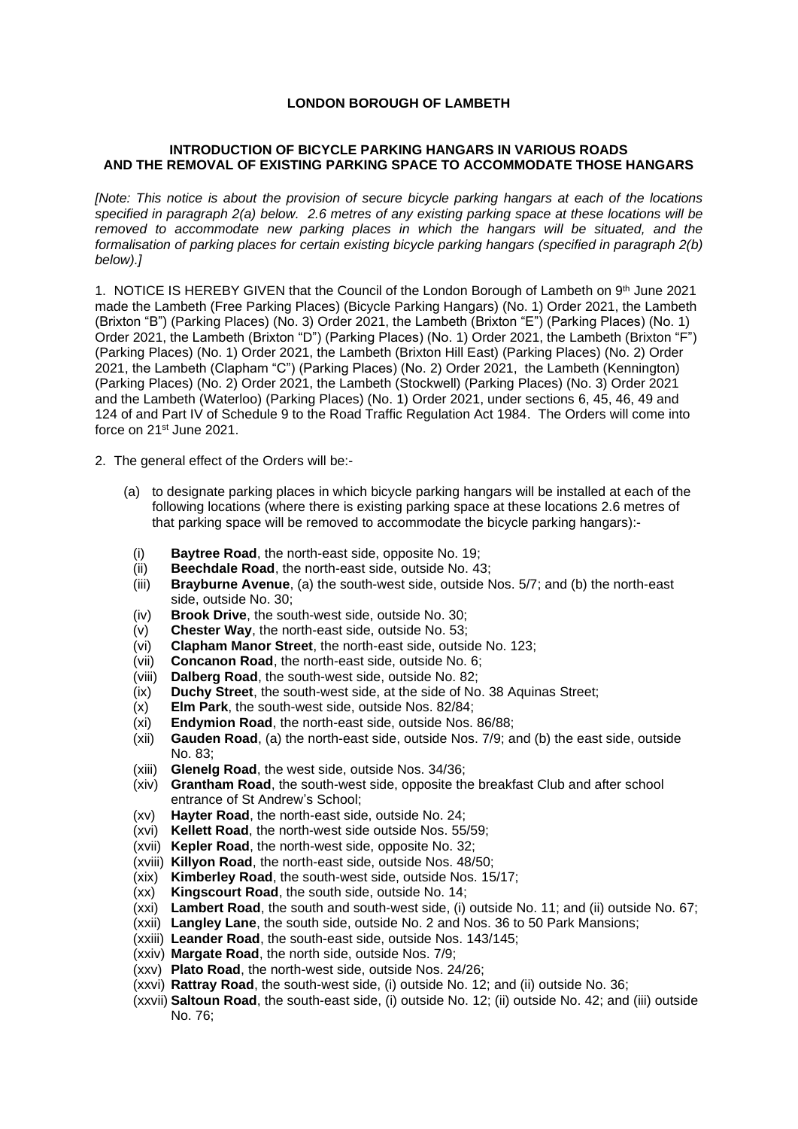## **LONDON BOROUGH OF LAMBETH**

## **INTRODUCTION OF BICYCLE PARKING HANGARS IN VARIOUS ROADS AND THE REMOVAL OF EXISTING PARKING SPACE TO ACCOMMODATE THOSE HANGARS**

*[Note: This notice is about the provision of secure bicycle parking hangars at each of the locations specified in paragraph 2(a) below. 2.6 metres of any existing parking space at these locations will be removed to accommodate new parking places in which the hangars will be situated, and the formalisation of parking places for certain existing bicycle parking hangars (specified in paragraph 2(b) below).]*

1. NOTICE IS HEREBY GIVEN that the Council of the London Borough of Lambeth on  $9<sup>th</sup>$  June 2021 made the Lambeth (Free Parking Places) (Bicycle Parking Hangars) (No. 1) Order 2021, the Lambeth (Brixton "B") (Parking Places) (No. 3) Order 2021, the Lambeth (Brixton "E") (Parking Places) (No. 1) Order 2021, the Lambeth (Brixton "D") (Parking Places) (No. 1) Order 2021, the Lambeth (Brixton "F") (Parking Places) (No. 1) Order 2021, the Lambeth (Brixton Hill East) (Parking Places) (No. 2) Order 2021, the Lambeth (Clapham "C") (Parking Places) (No. 2) Order 2021, the Lambeth (Kennington) (Parking Places) (No. 2) Order 2021, the Lambeth (Stockwell) (Parking Places) (No. 3) Order 2021 and the Lambeth (Waterloo) (Parking Places) (No. 1) Order 2021, under sections 6, 45, 46, 49 and 124 of and Part IV of Schedule 9 to the Road Traffic Regulation Act 1984. The Orders will come into force on 21st June 2021.

- 2. The general effect of the Orders will be:-
	- (a) to designate parking places in which bicycle parking hangars will be installed at each of the following locations (where there is existing parking space at these locations 2.6 metres of that parking space will be removed to accommodate the bicycle parking hangars):-
		- (i) **Baytree Road**, the north-east side, opposite No. 19;
		- (ii) **Beechdale Road**, the north-east side, outside No. 43;
		- (iii) **Brayburne Avenue**, (a) the south-west side, outside Nos. 5/7; and (b) the north-east side, outside No. 30;
		- (iv) **Brook Drive**, the south-west side, outside No. 30;
		- (v) **Chester Way**, the north-east side, outside No. 53;
		- (vi) **Clapham Manor Street**, the north-east side, outside No. 123;
		- (vii) **Concanon Road**, the north-east side, outside No. 6;
		- (viii) **Dalberg Road**, the south-west side, outside No. 82;
		- (ix) **Duchy Street**, the south-west side, at the side of No. 38 Aquinas Street;
		- (x) **Elm Park**, the south-west side, outside Nos. 82/84;
		- (xi) **Endymion Road**, the north-east side, outside Nos. 86/88;
		- (xii) **Gauden Road**, (a) the north-east side, outside Nos. 7/9; and (b) the east side, outside No. 83;
		- (xiii) **Glenelg Road**, the west side, outside Nos. 34/36;
		- (xiv) **Grantham Road**, the south-west side, opposite the breakfast Club and after school entrance of St Andrew's School;
		- (xv) **Hayter Road**, the north-east side, outside No. 24;
		- (xvi) **Kellett Road**, the north-west side outside Nos. 55/59;
		- (xvii) **Kepler Road**, the north-west side, opposite No. 32;
		- (xviii) **Killyon Road**, the north-east side, outside Nos. 48/50;
		- (xix) **Kimberley Road**, the south-west side, outside Nos. 15/17;
		- (xx) **Kingscourt Road**, the south side, outside No. 14;
		- (xxi) **Lambert Road**, the south and south-west side, (i) outside No. 11; and (ii) outside No. 67;
		- (xxii) **Langley Lane**, the south side, outside No. 2 and Nos. 36 to 50 Park Mansions;
		- (xxiii) **Leander Road**, the south-east side, outside Nos. 143/145;
		- (xxiv) **Margate Road**, the north side, outside Nos. 7/9;
		- (xxv) **Plato Road**, the north-west side, outside Nos. 24/26;
		- (xxvi) **Rattray Road**, the south-west side, (i) outside No. 12; and (ii) outside No. 36;
		- (xxvii) **Saltoun Road**, the south-east side, (i) outside No. 12; (ii) outside No. 42; and (iii) outside No. 76;